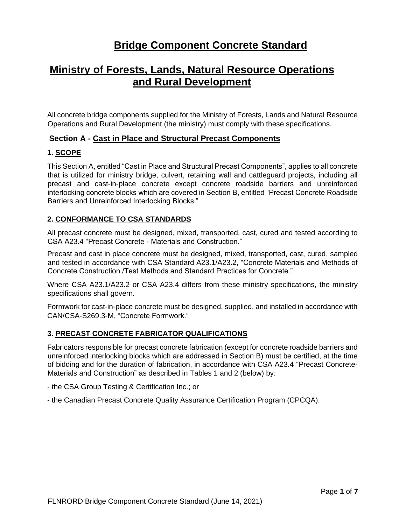# **Bridge Component Concrete Standard**

# **Ministry of Forests, Lands, Natural Resource Operations and Rural Development**

All concrete bridge components supplied for the Ministry of Forests, Lands and Natural Resource Operations and Rural Development (the ministry) must comply with these specifications.

## **Section A - Cast in Place and Structural Precast Components**

#### **1. SCOPE**

This Section A, entitled "Cast in Place and Structural Precast Components", applies to all concrete that is utilized for ministry bridge, culvert, retaining wall and cattleguard projects, including all precast and cast-in-place concrete except concrete roadside barriers and unreinforced interlocking concrete blocks which are covered in Section B, entitled "Precast Concrete Roadside Barriers and Unreinforced Interlocking Blocks."

#### **2. CONFORMANCE TO CSA STANDARDS**

All precast concrete must be designed, mixed, transported, cast, cured and tested according to CSA A23.4 "Precast Concrete - Materials and Construction."

Precast and cast in place concrete must be designed, mixed, transported, cast, cured, sampled and tested in accordance with CSA Standard A23.1/A23.2, "Concrete Materials and Methods of Concrete Construction /Test Methods and Standard Practices for Concrete."

Where CSA A23.1/A23.2 or CSA A23.4 differs from these ministry specifications, the ministry specifications shall govern.

Formwork for cast-in-place concrete must be designed, supplied, and installed in accordance with CAN/CSA-S269.3-M, "Concrete Formwork."

#### **3. PRECAST CONCRETE FABRICATOR QUALIFICATIONS**

Fabricators responsible for precast concrete fabrication (except for concrete roadside barriers and unreinforced interlocking blocks which are addressed in Section B) must be certified, at the time of bidding and for the duration of fabrication, in accordance with CSA A23.4 "Precast Concrete-Materials and Construction" as described in Tables 1 and 2 (below) by:

- the CSA Group Testing & Certification Inc.; or

- the Canadian Precast Concrete Quality Assurance Certification Program (CPCQA).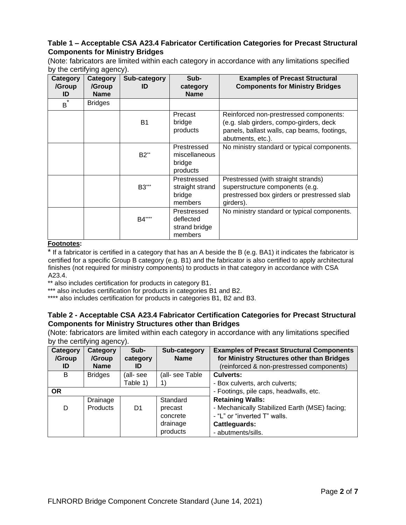#### **Table 1 – Acceptable CSA A23.4 Fabricator Certification Categories for Precast Structural Components for Ministry Bridges**

(Note: fabricators are limited within each category in accordance with any limitations specified by the certifying agency).

| <b>Category</b><br>/Group<br>ID | <b>Category</b><br>/Group<br><b>Name</b> | Sub-category<br>ID | Sub-<br>category<br><b>Name</b>                      | <b>Examples of Precast Structural</b><br><b>Components for Ministry Bridges</b>                                                                       |
|---------------------------------|------------------------------------------|--------------------|------------------------------------------------------|-------------------------------------------------------------------------------------------------------------------------------------------------------|
| $\star$<br>B                    | <b>Bridges</b>                           |                    |                                                      |                                                                                                                                                       |
|                                 |                                          | <b>B1</b>          | Precast<br>bridge<br>products                        | Reinforced non-prestressed components:<br>(e.g. slab girders, compo-girders, deck<br>panels, ballast walls, cap beams, footings,<br>abutments, etc.). |
|                                 |                                          | $B2^*$             | Prestressed<br>miscellaneous<br>bridge<br>products   | No ministry standard or typical components.                                                                                                           |
|                                 |                                          | B3***              | Prestressed<br>straight strand<br>bridge<br>members  | Prestressed (with straight strands)<br>superstructure components (e.g.<br>prestressed box girders or prestressed slab<br>girders).                    |
|                                 |                                          | B4****             | Prestressed<br>deflected<br>strand bridge<br>members | No ministry standard or typical components.                                                                                                           |

#### **Footnotes:**

\* If a fabricator is certified in a category that has an A beside the B (e.g. BA1) it indicates the fabricator is certified for a specific Group B category (e.g. B1) and the fabricator is also certified to apply architectural finishes (not required for ministry components) to products in that category in accordance with CSA A23.4.

\*\* also includes certification for products in category B1.

\*\*\* also includes certification for products in categories B1 and B2.

\*\*\*\* also includes certification for products in categories B1, B2 and B3.

#### **Table 2 - Acceptable CSA A23.4 Fabricator Certification Categories for Precast Structural Components for Ministry Structures other than Bridges**

(Note: fabricators are limited within each category in accordance with any limitations specified by the certifying agency).

| Category<br>/Group<br>ID | Category<br>/Group<br><b>Name</b> | Sub-<br>category<br>ID | Sub-category<br><b>Name</b> | <b>Examples of Precast Structural Components</b><br>for Ministry Structures other than Bridges<br>(reinforced & non-prestressed components) |
|--------------------------|-----------------------------------|------------------------|-----------------------------|---------------------------------------------------------------------------------------------------------------------------------------------|
| B                        | <b>Bridges</b>                    | (all-see               | (all- see Table             | <b>Culverts:</b>                                                                                                                            |
|                          |                                   | Table 1)               |                             | - Box culverts, arch culverts;                                                                                                              |
| <b>OR</b>                |                                   |                        |                             | - Footings, pile caps, headwalls, etc.                                                                                                      |
|                          | Drainage                          |                        | Standard                    | <b>Retaining Walls:</b>                                                                                                                     |
| D                        | <b>Products</b>                   | D1                     | precast                     | - Mechanically Stabilized Earth (MSE) facing;                                                                                               |
|                          |                                   |                        | concrete                    | - "L" or "inverted T" walls.                                                                                                                |
|                          |                                   |                        | drainage                    | <b>Cattleguards:</b>                                                                                                                        |
|                          |                                   |                        | products                    | - abutments/sills.                                                                                                                          |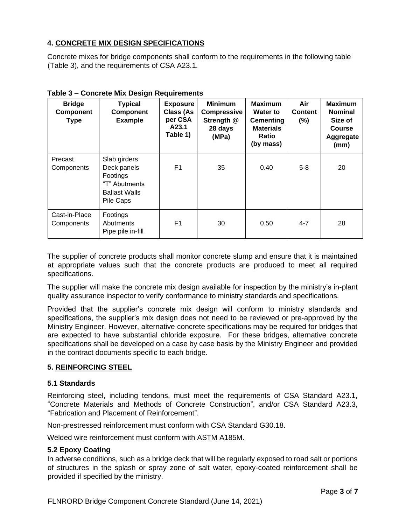# **4. CONCRETE MIX DESIGN SPECIFICATIONS**

Concrete mixes for bridge components shall conform to the requirements in the following table (Table 3), and the requirements of CSA A23.1.

| <b>Bridge</b><br><b>Component</b><br><b>Type</b> | <b>Typical</b><br>Component<br><b>Example</b>                                                 | <b>Exposure</b><br><b>Class (As</b><br>per CSA<br>A23.1<br>Table 1) | <b>Minimum</b><br><b>Compressive</b><br>Strength @<br>28 days<br>(MPa) | <b>Maximum</b><br><b>Water to</b><br><b>Cementing</b><br><b>Materials</b><br><b>Ratio</b><br>(by mass) | Air<br><b>Content</b><br>$(\% )$ | <b>Maximum</b><br><b>Nominal</b><br>Size of<br><b>Course</b><br>Aggregate<br>(mm) |
|--------------------------------------------------|-----------------------------------------------------------------------------------------------|---------------------------------------------------------------------|------------------------------------------------------------------------|--------------------------------------------------------------------------------------------------------|----------------------------------|-----------------------------------------------------------------------------------|
| Precast<br>Components                            | Slab girders<br>Deck panels<br>Footings<br>"T" Abutments<br><b>Ballast Walls</b><br>Pile Caps | F1                                                                  | 35                                                                     | 0.40                                                                                                   | $5 - 8$                          | 20                                                                                |
| Cast-in-Place<br>Components                      | Footings<br>Abutments<br>Pipe pile in-fill                                                    | F <sub>1</sub>                                                      | 30                                                                     | 0.50                                                                                                   | $4 - 7$                          | 28                                                                                |

**Table 3 – Concrete Mix Design Requirements**

The supplier of concrete products shall monitor concrete slump and ensure that it is maintained at appropriate values such that the concrete products are produced to meet all required specifications.

The supplier will make the concrete mix design available for inspection by the ministry's in-plant quality assurance inspector to verify conformance to ministry standards and specifications.

Provided that the supplier's concrete mix design will conform to ministry standards and specifications, the supplier's mix design does not need to be reviewed or pre-approved by the Ministry Engineer. However, alternative concrete specifications may be required for bridges that are expected to have substantial chloride exposure. For these bridges, alternative concrete specifications shall be developed on a case by case basis by the Ministry Engineer and provided in the contract documents specific to each bridge.

# **5. REINFORCING STEEL**

#### **5.1 Standards**

Reinforcing steel, including tendons, must meet the requirements of CSA Standard A23.1, "Concrete Materials and Methods of Concrete Construction", and/or CSA Standard A23.3, "Fabrication and Placement of Reinforcement".

Non-prestressed reinforcement must conform with CSA Standard G30.18.

Welded wire reinforcement must conform with ASTM A185M.

#### **5.2 Epoxy Coating**

In adverse conditions, such as a bridge deck that will be regularly exposed to road salt or portions of structures in the splash or spray zone of salt water, epoxy-coated reinforcement shall be provided if specified by the ministry.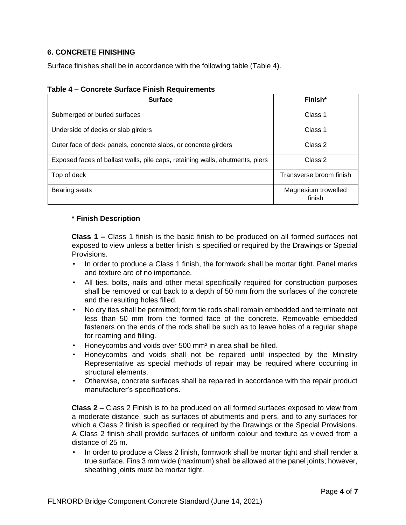## **6. CONCRETE FINISHING**

Surface finishes shall be in accordance with the following table (Table 4).

| <b>Surface</b>                                                               | Finish*                       |
|------------------------------------------------------------------------------|-------------------------------|
| Submerged or buried surfaces                                                 | Class 1                       |
| Underside of decks or slab girders                                           | Class 1                       |
| Outer face of deck panels, concrete slabs, or concrete girders               | Class 2                       |
| Exposed faces of ballast walls, pile caps, retaining walls, abutments, piers | Class 2                       |
| Top of deck                                                                  | Transverse broom finish       |
| Bearing seats                                                                | Magnesium trowelled<br>finish |

## **Table 4 – Concrete Surface Finish Requirements**

#### **\* Finish Description**

**Class 1 –** Class 1 finish is the basic finish to be produced on all formed surfaces not exposed to view unless a better finish is specified or required by the Drawings or Special Provisions.

- In order to produce a Class 1 finish, the formwork shall be mortar tight. Panel marks and texture are of no importance.
- All ties, bolts, nails and other metal specifically required for construction purposes shall be removed or cut back to a depth of 50 mm from the surfaces of the concrete and the resulting holes filled.
- No dry ties shall be permitted; form tie rods shall remain embedded and terminate not less than 50 mm from the formed face of the concrete. Removable embedded fasteners on the ends of the rods shall be such as to leave holes of a regular shape for reaming and filling.
- Honeycombs and voids over 500 mm² in area shall be filled.
- Honeycombs and voids shall not be repaired until inspected by the Ministry Representative as special methods of repair may be required where occurring in structural elements.
- Otherwise, concrete surfaces shall be repaired in accordance with the repair product manufacturer's specifications.

**Class 2 –** Class 2 Finish is to be produced on all formed surfaces exposed to view from a moderate distance, such as surfaces of abutments and piers, and to any surfaces for which a Class 2 finish is specified or required by the Drawings or the Special Provisions. A Class 2 finish shall provide surfaces of uniform colour and texture as viewed from a distance of 25 m.

• In order to produce a Class 2 finish, formwork shall be mortar tight and shall render a true surface. Fins 3 mm wide (maximum) shall be allowed at the panel joints; however, sheathing joints must be mortar tight.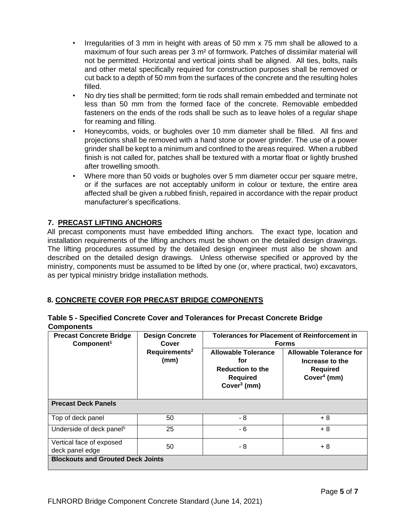- Irregularities of 3 mm in height with areas of 50 mm x 75 mm shall be allowed to a maximum of four such areas per 3 m² of formwork. Patches of dissimilar material will not be permitted. Horizontal and vertical joints shall be aligned. All ties, bolts, nails and other metal specifically required for construction purposes shall be removed or cut back to a depth of 50 mm from the surfaces of the concrete and the resulting holes filled.
- No dry ties shall be permitted; form tie rods shall remain embedded and terminate not less than 50 mm from the formed face of the concrete. Removable embedded fasteners on the ends of the rods shall be such as to leave holes of a regular shape for reaming and filling.
- Honeycombs, voids, or bugholes over 10 mm diameter shall be filled. All fins and projections shall be removed with a hand stone or power grinder. The use of a power grinder shall be kept to a minimum and confined to the areas required. When a rubbed finish is not called for, patches shall be textured with a mortar float or lightly brushed after trowelling smooth.
- Where more than 50 voids or bugholes over 5 mm diameter occur per square metre, or if the surfaces are not acceptably uniform in colour or texture, the entire area affected shall be given a rubbed finish, repaired in accordance with the repair product manufacturer's specifications.

# **7. PRECAST LIFTING ANCHORS**

All precast components must have embedded lifting anchors. The exact type, location and installation requirements of the lifting anchors must be shown on the detailed design drawings. The lifting procedures assumed by the detailed design engineer must also be shown and described on the detailed design drawings. Unless otherwise specified or approved by the ministry, components must be assumed to be lifted by one (or, where practical, two) excavators, as per typical ministry bridge installation methods.

# **8. CONCRETE COVER FOR PRECAST BRIDGE COMPONENTS**

| Table 5 - Specified Concrete Cover and Tolerances for Precast Concrete Bridge |  |
|-------------------------------------------------------------------------------|--|
| <b>Components</b>                                                             |  |

| <b>Precast Concrete Bridge</b><br>Component <sup>1</sup> | <b>Design Concrete</b><br>Cover   | <b>Tolerances for Placement of Reinforcement in</b><br><b>Forms</b>                               |                                                                                 |  |
|----------------------------------------------------------|-----------------------------------|---------------------------------------------------------------------------------------------------|---------------------------------------------------------------------------------|--|
|                                                          | Requirements <sup>2</sup><br>(mm) | <b>Allowable Tolerance</b><br>for<br><b>Reduction to the</b><br><b>Required</b><br>Cover $3$ (mm) | Allowable Tolerance for<br>Increase to the<br><b>Required</b><br>Cover $4$ (mm) |  |
| <b>Precast Deck Panels</b>                               |                                   |                                                                                                   |                                                                                 |  |
| Top of deck panel                                        | 50                                | - 8                                                                                               | + 8                                                                             |  |
| Underside of deck panel <sup>5</sup>                     | 25                                | - 6                                                                                               | $+8$                                                                            |  |
| Vertical face of exposed<br>deck panel edge              | 50                                | - 8                                                                                               | + 8                                                                             |  |
| <b>Blockouts and Grouted Deck Joints</b>                 |                                   |                                                                                                   |                                                                                 |  |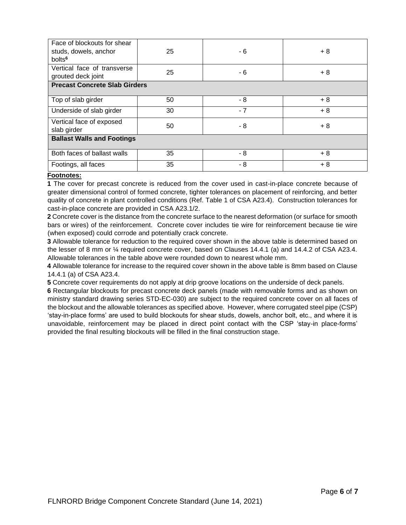| Face of blockouts for shear<br>studs, dowels, anchor<br>bolts <sup>6</sup> | 25 | - 6  | $+8$ |  |
|----------------------------------------------------------------------------|----|------|------|--|
| Vertical face of transverse<br>grouted deck joint                          | 25 | - 6  | $+8$ |  |
| <b>Precast Concrete Slab Girders</b>                                       |    |      |      |  |
| Top of slab girder                                                         | 50 | - 8  | $+8$ |  |
| Underside of slab girder                                                   | 30 | $-7$ | $+8$ |  |
| Vertical face of exposed<br>slab girder                                    | 50 | - 8  | $+8$ |  |
| <b>Ballast Walls and Footings</b>                                          |    |      |      |  |
| Both faces of ballast walls                                                | 35 | - 8  | $+8$ |  |
| Footings, all faces                                                        | 35 | - 8  | $+8$ |  |

#### **Footnotes:**

**1** The cover for precast concrete is reduced from the cover used in cast-in-place concrete because of greater dimensional control of formed concrete, tighter tolerances on placement of reinforcing, and better quality of concrete in plant controlled conditions (Ref. Table 1 of CSA A23.4). Construction tolerances for cast-in-place concrete are provided in CSA A23.1/2.

**2** Concrete cover is the distance from the concrete surface to the nearest deformation (or surface for smooth bars or wires) of the reinforcement. Concrete cover includes tie wire for reinforcement because tie wire (when exposed) could corrode and potentially crack concrete.

**3** Allowable tolerance for reduction to the required cover shown in the above table is determined based on the lesser of 8 mm or ¼ required concrete cover, based on Clauses 14.4.1 (a) and 14.4.2 of CSA A23.4. Allowable tolerances in the table above were rounded down to nearest whole mm.

**4** Allowable tolerance for increase to the required cover shown in the above table is 8mm based on Clause 14.4.1 (a) of CSA A23.4.

**5** Concrete cover requirements do not apply at drip groove locations on the underside of deck panels.

**6** Rectangular blockouts for precast concrete deck panels (made with removable forms and as shown on ministry standard drawing series STD-EC-030) are subject to the required concrete cover on all faces of the blockout and the allowable tolerances as specified above. However, where corrugated steel pipe (CSP) 'stay-in-place forms' are used to build blockouts for shear studs, dowels, anchor bolt, etc., and where it is unavoidable, reinforcement may be placed in direct point contact with the CSP 'stay-in place-forms' provided the final resulting blockouts will be filled in the final construction stage.